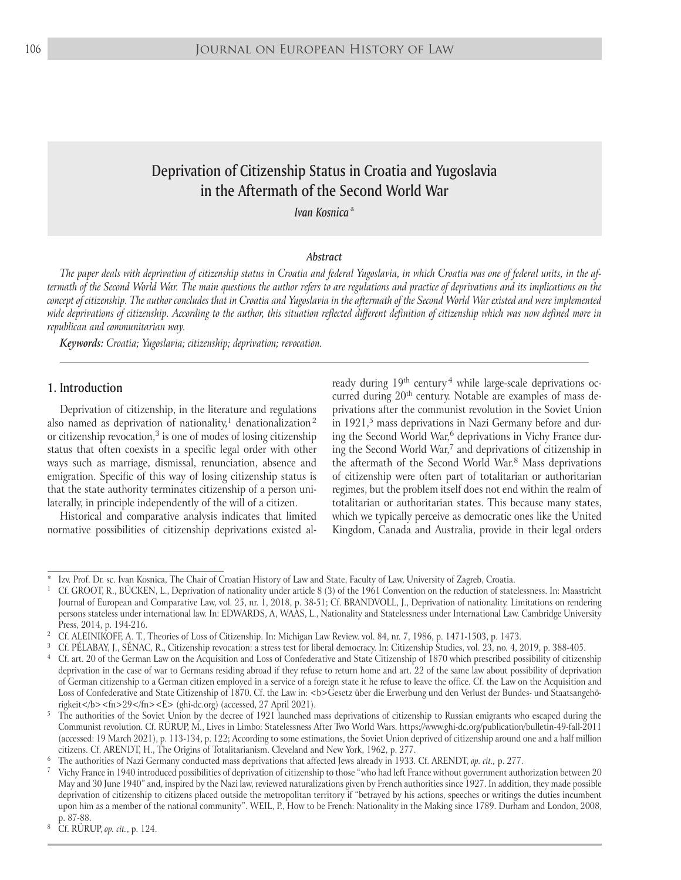# Deprivation of Citizenship Status in Croatia and Yugoslavia in the Aftermath of the Second World War

*Ivan Kosnica* \*

#### *Abstract*

*The paper deals with deprivation of citizenship status in Croatia and federal Yugoslavia, in which Croatia was one of federal units, in the aftermath of the Second World War. The main questions the author refers to are regulations and practice of deprivations and its implications on the concept of citizenship. The author concludes that in Croatia and Yugoslavia in the aftermath of the Second World War existed and were implemented wide deprivations of citizenship. According to the author, this situation reflected different definition of citizenship which was now defined more in republican and communitarian way.*

*Keywords: Croatia; Yugoslavia; citizenship; deprivation; revocation.*

### 1. Introduction

Deprivation of citizenship, in the literature and regulations also named as deprivation of nationality,<sup>1</sup> denationalization<sup>2</sup> or citizenship revocation, $3$  is one of modes of losing citizenship status that often coexists in a specific legal order with other ways such as marriage, dismissal, renunciation, absence and emigration. Specific of this way of losing citizenship status is that the state authority terminates citizenship of a person unilaterally, in principle independently of the will of a citizen.

Historical and comparative analysis indicates that limited normative possibilities of citizenship deprivations existed already during  $19<sup>th</sup>$  century<sup>4</sup> while large-scale deprivations occurred during 20<sup>th</sup> century. Notable are examples of mass deprivations after the communist revolution in the Soviet Union in  $1921$ ,<sup>5</sup> mass deprivations in Nazi Germany before and during the Second World War,<sup>6</sup> deprivations in Vichy France during the Second World War,<sup>7</sup> and deprivations of citizenship in the aftermath of the Second World War. 8 Mass deprivations of citizenship were often part of totalitarian or authoritarian regimes, but the problem itself does not end within the realm of totalitarian or authoritarian states. This because many states, which we typically perceive as democratic ones like the United Kingdom, Canada and Australia, provide in their legal orders

Izv. Prof. Dr. sc. Ivan Kosnica, The Chair of Croatian History of Law and State, Faculty of Law, University of Zagreb, Croatia.

<sup>1</sup> Cf. GROOT, R., BÜCKEN, L., Deprivation of nationality under article 8 (3) of the 1961 Convention on the reduction of statelessness. In: Maastricht Journal of European and Comparative Law, vol. 25, nr. 1, 2018, p. 38-51; Cf. BRANDVOLL, J., Deprivation of nationality. Limitations on rendering persons stateless under international law. In: EDWARDS, A, WAAS, L., Nationality and Statelessness under International Law. Cambridge University Press, 2014, p. 194-216.

<sup>2</sup> Cf. ALEINIKOFF, A. T., Theories of Loss of Citizenship. In: Michigan Law Review. vol. 84, nr. 7, 1986, p. 1471-1503, p. 1473.

<sup>3</sup> Cf. PÉLABAY, J., SÉNAC, R., Citizenship revocation: a stress test for liberal democracy. In: Citizenship Studies, vol. 23, no. 4, 2019, p. 388-405.

<sup>4</sup> Cf. art. 20 of the German Law on the Acquisition and Loss of Confederative and State Citizenship of 1870 which prescribed possibility of citizenship deprivation in the case of war to Germans residing abroad if they refuse to return home and art. 22 of the same law about possibility of deprivation of German citizenship to a German citizen employed in a service of a foreign state it he refuse to leave the office. Cf. the Law on the Acquisition and Loss of Confederative and State Citizenship of 1870. Cf. the Law in: <b>Gesetz über die Erwerbung und den Verlust der Bundes- und Staatsangehörigkeit</b><fn>29</fn><E> (ghi-dc.org) (accessed, 27 April 2021).

<sup>5</sup> The authorities of the Soviet Union by the decree of 1921 launched mass deprivations of citizenship to Russian emigrants who escaped during the Communist revolution. Cf. RÜRUP, M., Lives in Limbo: Statelessness After Two World Wars. https://www.ghi-dc.org/publication/bulletin-49-fall-2011 (accessed: 19 March 2021), p. 113-134, p. 122; According to some estimations, the Soviet Union deprived of citizenship around one and a half million citizens. Cf. ARENDT, H., The Origins of Totalitarianism. Cleveland and New York, 1962, p. 277.

<sup>6</sup> The authorities of Nazi Germany conducted mass deprivations that affected Jews already in 1933. Cf. ARENDT, *op. cit.,* p. 277.

<sup>7</sup> Vichy France in 1940 introduced possibilities of deprivation of citizenship to those "who had left France without government authorization between 20 May and 30 June 1940" and, inspired by the Nazi law, reviewed naturalizations given by French authorities since 1927. In addition, they made possible deprivation of citizenship to citizens placed outside the metropolitan territory if "betrayed by his actions, speeches or writings the duties incumbent upon him as a member of the national community". WEIL, P., How to be French: Nationality in the Making since 1789. Durham and London, 2008, p. 87-88.

<sup>8</sup> Cf. RÜRUP, *op. cit.*, p. 124.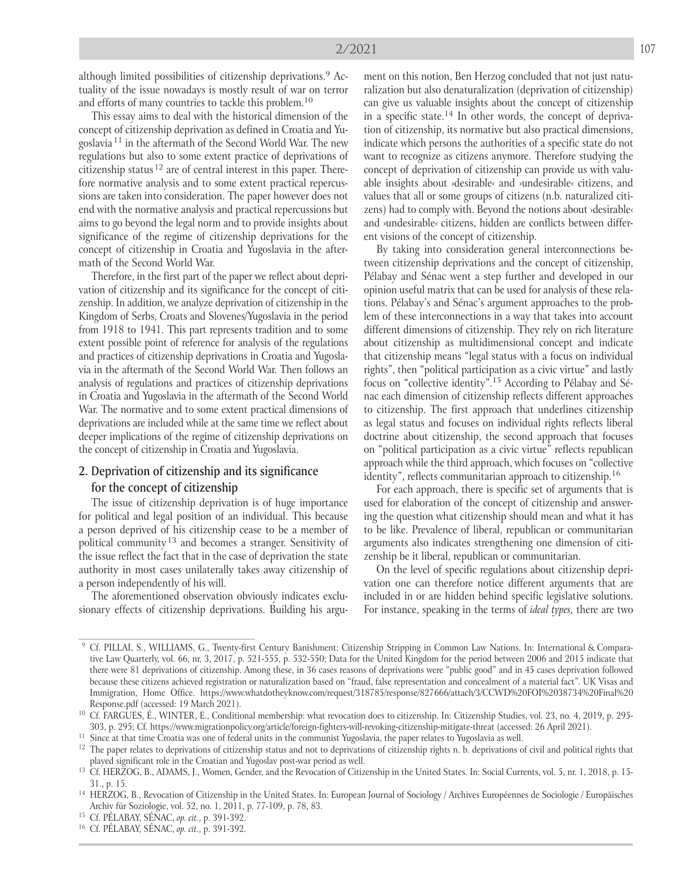although limited possibilities of citizenship deprivations. 9 Actuality of the issue nowadays is mostly result of war on terror and efforts of many countries to tackle this problem. 10

This essay aims to deal with the historical dimension of the concept of citizenship deprivation as defined in Croatia and Yugoslavia 11 in the aftermath of the Second World War. The new regulations but also to some extent practice of deprivations of citizenship status  $12$  are of central interest in this paper. Therefore normative analysis and to some extent practical repercussions are taken into consideration. The paper however does not end with the normative analysis and practical repercussions but aims to go beyond the legal norm and to provide insights about significance of the regime of citizenship deprivations for the concept of citizenship in Croatia and Yugoslavia in the aftermath of the Second World War.

Therefore, in the first part of the paper we reflect about deprivation of citizenship and its significance for the concept of citizenship. In addition, we analyze deprivation of citizenship in the Kingdom of Serbs, Croats and Slovenes/Yugoslavia in the period from 1918 to 1941. This part represents tradition and to some extent possible point of reference for analysis of the regulations and practices of citizenship deprivations in Croatia and Yugoslavia in the aftermath of the Second World War. Then follows an analysis of regulations and practices of citizenship deprivations in Croatia and Yugoslavia in the aftermath of the Second World War. The normative and to some extent practical dimensions of deprivations are included while at the same time we reflect about deeper implications of the regime of citizenship deprivations on the concept of citizenship in Croatia and Yugoslavia.

### 2. Deprivation of citizenship and its significance for the concept of citizenship

The issue of citizenship deprivation is of huge importance for political and legal position of an individual. This because a person deprived of his citizenship cease to be a member of political community<sup>13</sup> and becomes a stranger. Sensitivity of the issue reflect the fact that in the case of deprivation the state authority in most cases unilaterally takes away citizenship of a person independently of his will.

The aforementioned observation obviously indicates exclusionary effects of citizenship deprivations. Building his argu-

ment on this notion, Ben Herzog concluded that not just naturalization but also denaturalization (deprivation of citizenship) can give us valuable insights about the concept of citizenship in a specific state. 14 In other words, the concept of deprivation of citizenship, its normative but also practical dimensions, indicate which persons the authorities of a specific state do not want to recognize as citizens anymore. Therefore studying the concept of deprivation of citizenship can provide us with valuable insights about ›desirable‹ and ›undesirable‹ citizens, and values that all or some groups of citizens (n.b. naturalized citizens) had to comply with. Beyond the notions about ›desirable‹ and ›undesirable‹ citizens, hidden are conflicts between different visions of the concept of citizenship.

By taking into consideration general interconnections between citizenship deprivations and the concept of citizenship, Pélabay and Sénac went a step further and developed in our opinion useful matrix that can be used for analysis of these relations. Pélabay's and Sénac's argument approaches to the problem of these interconnections in a way that takes into account different dimensions of citizenship. They rely on rich literature about citizenship as multidimensional concept and indicate that citizenship means "legal status with a focus on individual rights", then "political participation as a civic virtue" and lastly focus on "collective identity". 15 According to Pélabay and Sénac each dimension of citizenship reflects different approaches to citizenship. The first approach that underlines citizenship as legal status and focuses on individual rights reflects liberal doctrine about citizenship, the second approach that focuses on "political participation as a civic virtue" reflects republican approach while the third approach, which focuses on "collective identity", reflects communitarian approach to citizenship. 16

For each approach, there is specific set of arguments that is used for elaboration of the concept of citizenship and answering the question what citizenship should mean and what it has to be like. Prevalence of liberal, republican or communitarian arguments also indicates strengthening one dimension of citizenship be it liberal, republican or communitarian.

On the level of specific regulations about citizenship deprivation one can therefore notice different arguments that are included in or are hidden behind specific legislative solutions. For instance, speaking in the terms of *ideal types,* there are two

<sup>9</sup> Cf. PILLAI, S., WILLIAMS, G., Twenty-first Century Banishment: Citizenship Stripping in Common Law Nations. In: International & Comparative Law Quarterly, vol. 66, nr. 3, 2017, p. 521-555, p. 532-550; Data for the United Kingdom for the period between 2006 and 2015 indicate that there were 81 deprivations of citizenship. Among these, in 36 cases reasons of deprivations were "public good" and in 45 cases deprivation followed because these citizens achieved registration or naturalization based on "fraud, false representation and concealment of a material fact". UK Visas and Immigration, Home Office. https://www.whatdotheyknow.com/request/318785/response/827666/attach/3/CCWD%20FOI%2038734%20Final%20 Response.pdf (accessed: 19 March 2021).

<sup>&</sup>lt;sup>10</sup> Cf. FARGUES, É., WINTER, E., Conditional membership: what revocation does to citizenship. In: Citizenship Studies, vol. 23, no. 4, 2019, p. 295-303, p. 295; Cf. https://www.migrationpolicy.org/article/foreign-fighters-will-revoking-citizenship-mitigate-threat (accessed: 26 April 2021).

<sup>&</sup>lt;sup>11</sup> Since at that time Croatia was one of federal units in the communist Yugoslavia, the paper relates to Yugoslavia as well.

 $12$  The paper relates to deprivations of citizenship status and not to deprivations of citizenship rights n. b. deprivations of civil and political rights that played significant role in the Croatian and Yugoslav post-war period as well.

<sup>&</sup>lt;sup>13</sup> Cf. HERZOG, B., ADAMS, J., Women, Gender, and the Revocation of Citizenship in the United States. In: Social Currents, vol. 5, nr. 1, 2018, p. 15-31., p. 15.

<sup>&</sup>lt;sup>14</sup> HERZOG, B., Revocation of Citizenship in the United States. In: European Journal of Sociology / Archives Européennes de Sociologie / Europäisches Archiv für Soziologie, vol. 52, no. 1, 2011, p. 77-109, p. 78, 83.

<sup>15</sup> Cf. PÉLABAY, SÉNAC, *op. cit.*, p. 391-392.

<sup>16</sup> Cf. PÉLABAY, SÉNAC, *op. cit.*, p. 391-392.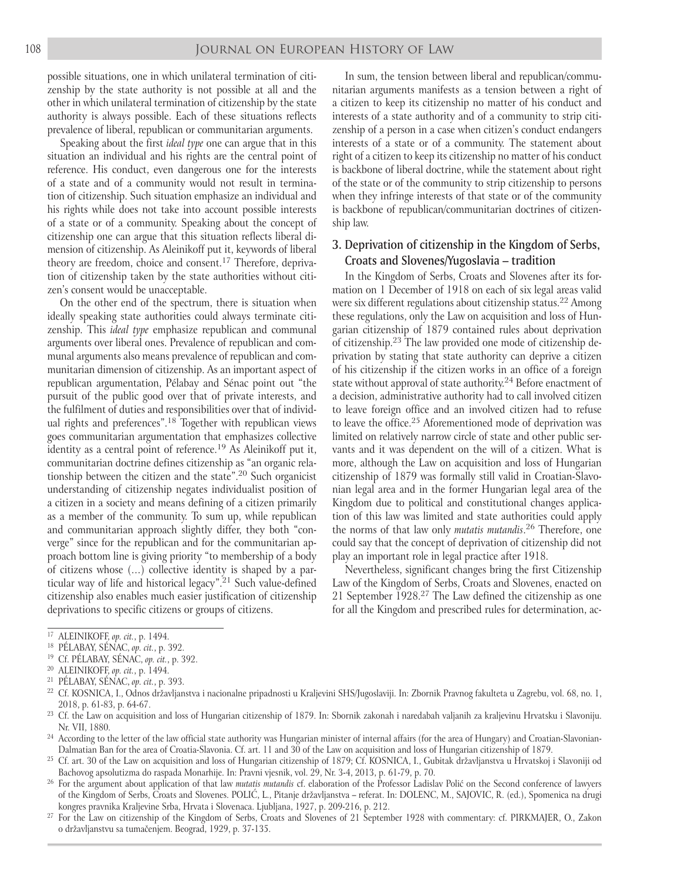possible situations, one in which unilateral termination of citizenship by the state authority is not possible at all and the other in which unilateral termination of citizenship by the state authority is always possible. Each of these situations reflects prevalence of liberal, republican or communitarian arguments.

Speaking about the first *ideal type* one can argue that in this situation an individual and his rights are the central point of reference. His conduct, even dangerous one for the interests of a state and of a community would not result in termination of citizenship. Such situation emphasize an individual and his rights while does not take into account possible interests of a state or of a community. Speaking about the concept of citizenship one can argue that this situation reflects liberal dimension of citizenship. As Aleinikoff put it, keywords of liberal theory are freedom, choice and consent. 17 Therefore, deprivation of citizenship taken by the state authorities without citizen's consent would be unacceptable.

On the other end of the spectrum, there is situation when ideally speaking state authorities could always terminate citizenship. This *ideal type* emphasize republican and communal arguments over liberal ones. Prevalence of republican and communal arguments also means prevalence of republican and communitarian dimension of citizenship. As an important aspect of republican argumentation, Pélabay and Sénac point out "the pursuit of the public good over that of private interests, and the fulfilment of duties and responsibilities over that of individual rights and preferences". 18 Together with republican views goes communitarian argumentation that emphasizes collective identity as a central point of reference. 19 As Aleinikoff put it, communitarian doctrine defines citizenship as "an organic relationship between the citizen and the state". 20 Such organicist understanding of citizenship negates individualist position of a citizen in a society and means defining of a citizen primarily as a member of the community. To sum up, while republican and communitarian approach slightly differ, they both "converge" since for the republican and for the communitarian approach bottom line is giving priority "to membership of a body of citizens whose (…) collective identity is shaped by a particular way of life and historical legacy". 21 Such value-defined citizenship also enables much easier justification of citizenship deprivations to specific citizens or groups of citizens.

In sum, the tension between liberal and republican/communitarian arguments manifests as a tension between a right of a citizen to keep its citizenship no matter of his conduct and interests of a state authority and of a community to strip citizenship of a person in a case when citizen's conduct endangers interests of a state or of a community. The statement about right of a citizen to keep its citizenship no matter of his conduct is backbone of liberal doctrine, while the statement about right of the state or of the community to strip citizenship to persons when they infringe interests of that state or of the community is backbone of republican/communitarian doctrines of citizenship law.

### 3. Deprivation of citizenship in the Kingdom of Serbs, Croats and Slovenes/Yugoslavia – tradition

In the Kingdom of Serbs, Croats and Slovenes after its formation on 1 December of 1918 on each of six legal areas valid were six different regulations about citizenship status. 22 Among these regulations, only the Law on acquisition and loss of Hungarian citizenship of 1879 contained rules about deprivation of citizenship. 23 The law provided one mode of citizenship deprivation by stating that state authority can deprive a citizen of his citizenship if the citizen works in an office of a foreign state without approval of state authority. $24$  Before enactment of a decision, administrative authority had to call involved citizen to leave foreign office and an involved citizen had to refuse to leave the office.<sup>25</sup> Aforementioned mode of deprivation was limited on relatively narrow circle of state and other public servants and it was dependent on the will of a citizen. What is more, although the Law on acquisition and loss of Hungarian citizenship of 1879 was formally still valid in Croatian-Slavonian legal area and in the former Hungarian legal area of the Kingdom due to political and constitutional changes application of this law was limited and state authorities could apply the norms of that law only *mutatis mutandis*. 26 Therefore, one could say that the concept of deprivation of citizenship did not play an important role in legal practice after 1918.

Nevertheless, significant changes bring the first Citizenship Law of the Kingdom of Serbs, Croats and Slovenes, enacted on 21 September 1928. 27 The Law defined the citizenship as one for all the Kingdom and prescribed rules for determination, ac-

- <sup>19</sup> Cf. PÉLABAY, SÉNAC, *op. cit.*, p. 392.
- <sup>20</sup> ALEINIKOFF, *op. cit.*, p. 1494.
- <sup>21</sup> PÉLABAY, SÉNAC, *op. cit.*, p. 393.

- <sup>23</sup> Cf. the Law on acquisition and loss of Hungarian citizenship of 1879. In: Sbornik zakonah i naredabah valjanih za kraljevinu Hrvatsku i Slavoniju. Nr. VII, 1880.
- $^{24}$  According to the letter of the law official state authority was Hungarian minister of internal affairs (for the area of Hungary) and Croatian-Slavonian-Dalmatian Ban for the area of Croatia-Slavonia. Cf. art. 11 and 30 of the Law on acquisition and loss of Hungarian citizenship of 1879.
- <sup>25</sup> Cf. art. 30 of the Law on acquisition and loss of Hungarian citizenship of 1879; Cf. KOSNICA, I., Gubitak državljanstva u Hrvatskoj i Slavoniji od Bachovog apsolutizma do raspada Monarhije. In: Pravni vjesnik, vol. 29, Nr. 3-4, 2013, p. 61-79, p. 70.
- <sup>26</sup> For the argument about application of that law *mutatis mutandis* cf. elaboration of the Professor Ladislav Polić on the Second conference of lawyers of the Kingdom of Serbs, Croats and Slovenes. POLIĆ, L., Pitanje državljanstva – referat. In: DOLENC, M., SAJOVIC, R. (ed.), Spomenica na drugi kongres pravnika Kraljevine Srba, Hrvata i Slovenaca. Ljubljana, 1927, p. 209-216, p. 212.
- <sup>27</sup> For the Law on citizenship of the Kingdom of Serbs, Croats and Slovenes of 21 September 1928 with commentary: cf. PIRKMAJER, O., Zakon o državljanstvu sa tumačenjem. Beograd, 1929, p. 37-135.

<sup>17</sup> ALEINIKOFF, *op. cit.*, p. 1494.

<sup>18</sup> PÉLABAY, SÉNAC, *op. cit.*, p. 392.

<sup>22</sup> Cf. KOSNICA, I., Odnos državljanstva i nacionalne pripadnosti u Kraljevini SHS/Jugoslaviji. In: Zbornik Pravnog fakulteta u Zagrebu, vol. 68, no. 1, 2018, p. 61-83, p. 64-67.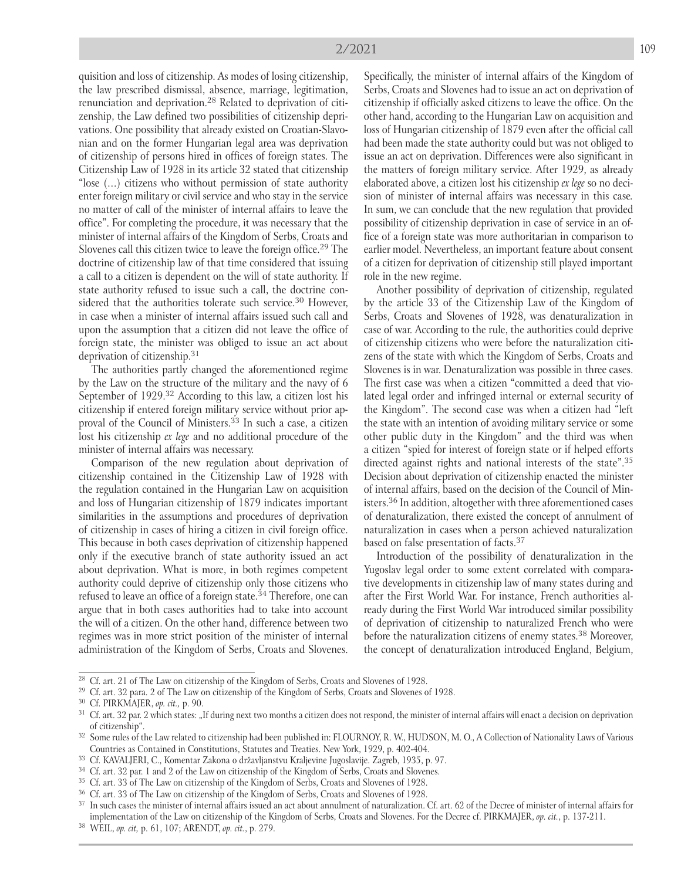quisition and loss of citizenship. As modes of losing citizenship, the law prescribed dismissal, absence, marriage, legitimation, renunciation and deprivation. 28 Related to deprivation of citizenship, the Law defined two possibilities of citizenship deprivations. One possibility that already existed on Croatian-Slavonian and on the former Hungarian legal area was deprivation of citizenship of persons hired in offices of foreign states. The Citizenship Law of 1928 in its article 32 stated that citizenship "lose (…) citizens who without permission of state authority enter foreign military or civil service and who stay in the service no matter of call of the minister of internal affairs to leave the office". For completing the procedure, it was necessary that the minister of internal affairs of the Kingdom of Serbs, Croats and Slovenes call this citizen twice to leave the foreign office.<sup>29</sup> The doctrine of citizenship law of that time considered that issuing a call to a citizen is dependent on the will of state authority. If state authority refused to issue such a call, the doctrine considered that the authorities tolerate such service.<sup>30</sup> However, in case when a minister of internal affairs issued such call and upon the assumption that a citizen did not leave the office of foreign state, the minister was obliged to issue an act about deprivation of citizenship. 31

The authorities partly changed the aforementioned regime by the Law on the structure of the military and the navy of 6 September of 1929.<sup>32</sup> According to this law, a citizen lost his citizenship if entered foreign military service without prior approval of the Council of Ministers. 33 In such a case, a citizen lost his citizenship *ex lege* and no additional procedure of the minister of internal affairs was necessary.

Comparison of the new regulation about deprivation of citizenship contained in the Citizenship Law of 1928 with the regulation contained in the Hungarian Law on acquisition and loss of Hungarian citizenship of 1879 indicates important similarities in the assumptions and procedures of deprivation of citizenship in cases of hiring a citizen in civil foreign office. This because in both cases deprivation of citizenship happened only if the executive branch of state authority issued an act about deprivation. What is more, in both regimes competent authority could deprive of citizenship only those citizens who refused to leave an office of a foreign state.<sup>34</sup> Therefore, one can argue that in both cases authorities had to take into account the will of a citizen. On the other hand, difference between two regimes was in more strict position of the minister of internal administration of the Kingdom of Serbs, Croats and Slovenes.

Specifically, the minister of internal affairs of the Kingdom of Serbs, Croats and Slovenes had to issue an act on deprivation of citizenship if officially asked citizens to leave the office. On the other hand, according to the Hungarian Law on acquisition and loss of Hungarian citizenship of 1879 even after the official call had been made the state authority could but was not obliged to issue an act on deprivation. Differences were also significant in the matters of foreign military service. After 1929, as already elaborated above, a citizen lost his citizenship *ex lege* so no decision of minister of internal affairs was necessary in this case*.*  In sum, we can conclude that the new regulation that provided possibility of citizenship deprivation in case of service in an office of a foreign state was more authoritarian in comparison to earlier model. Nevertheless, an important feature about consent of a citizen for deprivation of citizenship still played important role in the new regime.

Another possibility of deprivation of citizenship, regulated by the article 33 of the Citizenship Law of the Kingdom of Serbs, Croats and Slovenes of 1928, was denaturalization in case of war. According to the rule, the authorities could deprive of citizenship citizens who were before the naturalization citizens of the state with which the Kingdom of Serbs, Croats and Slovenes is in war. Denaturalization was possible in three cases. The first case was when a citizen "committed a deed that violated legal order and infringed internal or external security of the Kingdom". The second case was when a citizen had "left the state with an intention of avoiding military service or some other public duty in the Kingdom" and the third was when a citizen "spied for interest of foreign state or if helped efforts directed against rights and national interests of the state". 35 Decision about deprivation of citizenship enacted the minister of internal affairs, based on the decision of the Council of Ministers. 36 In addition, altogether with three aforementioned cases of denaturalization, there existed the concept of annulment of naturalization in cases when a person achieved naturalization based on false presentation of facts. 37

Introduction of the possibility of denaturalization in the Yugoslav legal order to some extent correlated with comparative developments in citizenship law of many states during and after the First World War. For instance, French authorities already during the First World War introduced similar possibility of deprivation of citizenship to naturalized French who were before the naturalization citizens of enemy states. 38 Moreover, the concept of denaturalization introduced England, Belgium,

<sup>&</sup>lt;sup>28</sup> Cf. art. 21 of The Law on citizenship of the Kingdom of Serbs, Croats and Slovenes of 1928.

<sup>29</sup> Cf. art. 32 para. 2 of The Law on citizenship of the Kingdom of Serbs, Croats and Slovenes of 1928.

<sup>30</sup> Cf. PIRKMAJER, *op. cit.,* p. 90.

<sup>&</sup>lt;sup>31</sup> Cf. art. 32 par. 2 which states: "If during next two months a citizen does not respond, the minister of internal affairs will enact a decision on deprivation of citizenship".

<sup>&</sup>lt;sup>32</sup> Some rules of the Law related to citizenship had been published in: FLOURNOY, R. W., HUDSON, M. O., A Collection of Nationality Laws of Various Countries as Contained in Constitutions, Statutes and Treaties. New York, 1929, p. 402-404.

<sup>33</sup> Cf. KAVALJERI, C., Komentar Zakona o državljanstvu Kraljevine Jugoslavije. Zagreb, 1935, p. 97.

<sup>&</sup>lt;sup>34</sup> Cf. art. 32 par. 1 and 2 of the Law on citizenship of the Kingdom of Serbs, Croats and Slovenes.

<sup>&</sup>lt;sup>35</sup> Cf. art. 33 of The Law on citizenship of the Kingdom of Serbs, Croats and Slovenes of 1928.

<sup>&</sup>lt;sup>36</sup> Cf. art. 33 of The Law on citizenship of the Kingdom of Serbs, Croats and Slovenes of 1928.

<sup>&</sup>lt;sup>37</sup> In such cases the minister of internal affairs issued an act about annulment of naturalization. Cf. art. 62 of the Decree of minister of internal affairs for implementation of the Law on citizenship of the Kingdom of Serbs, Croats and Slovenes. For the Decree cf. PIRKMAJER, *op. cit.*, p. 137-211.

<sup>38</sup> WEIL, *op. cit,* p. 61, 107; ARENDT, *op. cit.*, p. 279.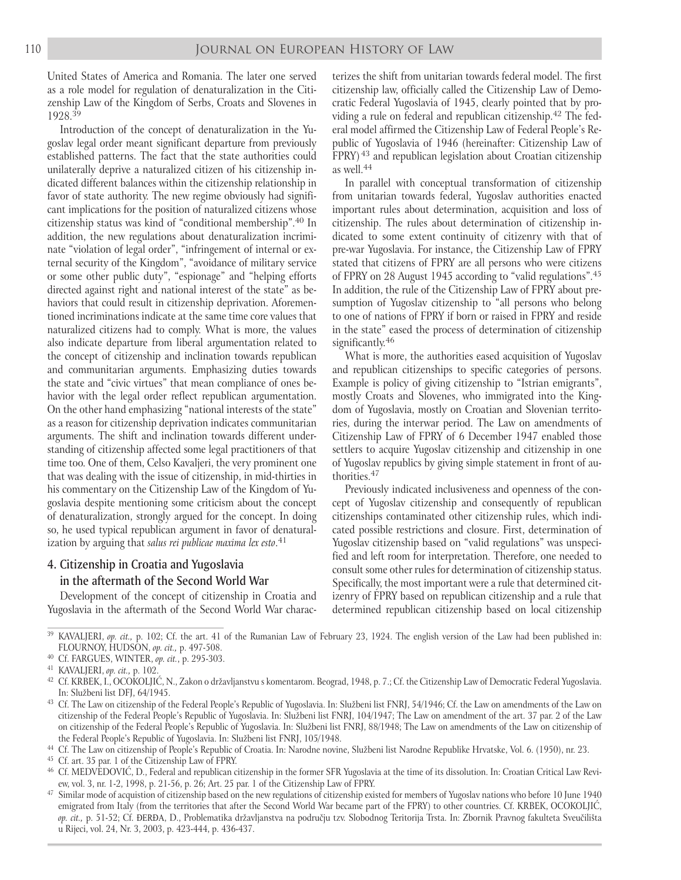United States of America and Romania. The later one served as a role model for regulation of denaturalization in the Citizenship Law of the Kingdom of Serbs, Croats and Slovenes in 1928. 39

Introduction of the concept of denaturalization in the Yugoslav legal order meant significant departure from previously established patterns. The fact that the state authorities could unilaterally deprive a naturalized citizen of his citizenship indicated different balances within the citizenship relationship in favor of state authority. The new regime obviously had significant implications for the position of naturalized citizens whose citizenship status was kind of "conditional membership". 40 In addition, the new regulations about denaturalization incriminate "violation of legal order", "infringement of internal or external security of the Kingdom", "avoidance of military service or some other public duty", "espionage" and "helping efforts directed against right and national interest of the state" as behaviors that could result in citizenship deprivation. Aforementioned incriminations indicate at the same time core values that naturalized citizens had to comply. What is more, the values also indicate departure from liberal argumentation related to the concept of citizenship and inclination towards republican and communitarian arguments. Emphasizing duties towards the state and "civic virtues" that mean compliance of ones behavior with the legal order reflect republican argumentation. On the other hand emphasizing "national interests of the state" as a reason for citizenship deprivation indicates communitarian arguments. The shift and inclination towards different understanding of citizenship affected some legal practitioners of that time too. One of them, Celso Kavaljeri, the very prominent one that was dealing with the issue of citizenship, in mid-thirties in his commentary on the Citizenship Law of the Kingdom of Yugoslavia despite mentioning some criticism about the concept of denaturalization, strongly argued for the concept. In doing so, he used typical republican argument in favor of denaturalization by arguing that *salus rei publicae maxima lex esto*. 41

## 4. Citizenship in Croatia and Yugoslavia in the aftermath of the Second World War

Development of the concept of citizenship in Croatia and Yugoslavia in the aftermath of the Second World War characterizes the shift from unitarian towards federal model. The first citizenship law, officially called the Citizenship Law of Democratic Federal Yugoslavia of 1945, clearly pointed that by providing a rule on federal and republican citizenship. 42 The federal model affirmed the Citizenship Law of Federal People's Republic of Yugoslavia of 1946 (hereinafter: Citizenship Law of FPRY)<sup>43</sup> and republican legislation about Croatian citizenship as well. 44

In parallel with conceptual transformation of citizenship from unitarian towards federal, Yugoslav authorities enacted important rules about determination, acquisition and loss of citizenship. The rules about determination of citizenship indicated to some extent continuity of citizenry with that of pre-war Yugoslavia. For instance, the Citizenship Law of FPRY stated that citizens of FPRY are all persons who were citizens of FPRY on 28 August 1945 according to "valid regulations".<sup>45</sup> In addition, the rule of the Citizenship Law of FPRY about presumption of Yugoslav citizenship to "all persons who belong to one of nations of FPRY if born or raised in FPRY and reside in the state" eased the process of determination of citizenship significantly. 46

What is more, the authorities eased acquisition of Yugoslav and republican citizenships to specific categories of persons. Example is policy of giving citizenship to "Istrian emigrants", mostly Croats and Slovenes, who immigrated into the Kingdom of Yugoslavia, mostly on Croatian and Slovenian territories, during the interwar period. The Law on amendments of Citizenship Law of FPRY of 6 December 1947 enabled those settlers to acquire Yugoslav citizenship and citizenship in one of Yugoslav republics by giving simple statement in front of authorities. 47

Previously indicated inclusiveness and openness of the concept of Yugoslav citizenship and consequently of republican citizenships contaminated other citizenship rules, which indicated possible restrictions and closure. First, determination of Yugoslav citizenship based on "valid regulations" was unspecified and left room for interpretation. Therefore, one needed to consult some other rules for determination of citizenship status. Specifically, the most important were a rule that determined citizenry of FPRY based on republican citizenship and a rule that determined republican citizenship based on local citizenship

 $47$  Similar mode of acquistion of citizenship based on the new regulations of citizenship existed for members of Yugoslav nations who before 10 June 1940 emigrated from Italy (from the territories that after the Second World War became part of the FPRY) to other countries. Cf. KRBEK, OCOKOLJIĆ, *op. cit.,* p. 51-52; Cf. ĐERĐA, D., Problematika državljanstva na području tzv. Slobodnog Teritorija Trsta. In: Zbornik Pravnog fakulteta Sveučilišta u Rijeci, vol. 24, Nr. 3, 2003, p. 423-444, p. 436-437.

<sup>&</sup>lt;sup>39</sup> KAVALJERI, *op. cit.*, p. 102; Cf. the art. 41 of the Rumanian Law of February 23, 1924. The english version of the Law had been published in: FLOURNOY, HUDSON, *op. cit.,* p. 497-508.

<sup>40</sup> Cf. FARGUES, WINTER, *op. cit.*, p. 295-303.

<sup>41</sup> KAVALJERI, *op. cit.,* p. 102.

<sup>&</sup>lt;sup>42</sup> Cf. KRBEK, I., OCOKOLJIĆ, N., Zakon o državljanstvu s komentarom. Beograd, 1948, p. 7.; Cf. the Citizenship Law of Democratic Federal Yugoslavia. In: Službeni list DFJ, 64/1945.

<sup>&</sup>lt;sup>43</sup> Cf. The Law on citizenship of the Federal People's Republic of Yugoslavia. In: Službeni list FNRJ, 54/1946; Cf. the Law on amendments of the Law on citizenship of the Federal People's Republic of Yugoslavia. In: Službeni list FNRJ, 104/1947; The Law on amendment of the art. 37 par. 2 of the Law on citizenship of the Federal People's Republic of Yugoslavia. In: Službeni list FNRJ, 88/1948; The Law on amendments of the Law on citizenship of the Federal People's Republic of Yugoslavia. In: Službeni list FNRJ, 105/1948.

<sup>&</sup>lt;sup>44</sup> Cf. The Law on citizenship of People's Republic of Croatia. In: Narodne novine, Službeni list Narodne Republike Hrvatske, Vol. 6. (1950), nr. 23.

<sup>45</sup> Cf. art. 35 par. 1 of the Citizenship Law of FPRY.

<sup>46</sup> Cf. MEDVEDOVIĆ, D., Federal and republican citizenship in the former SFR Yugoslavia at the time of its dissolution. In: Croatian Critical Law Review, vol. 3, nr. 1-2, 1998, p. 21-56, p. 26; Art. 25 par. 1 of the Citizenship Law of FPRY.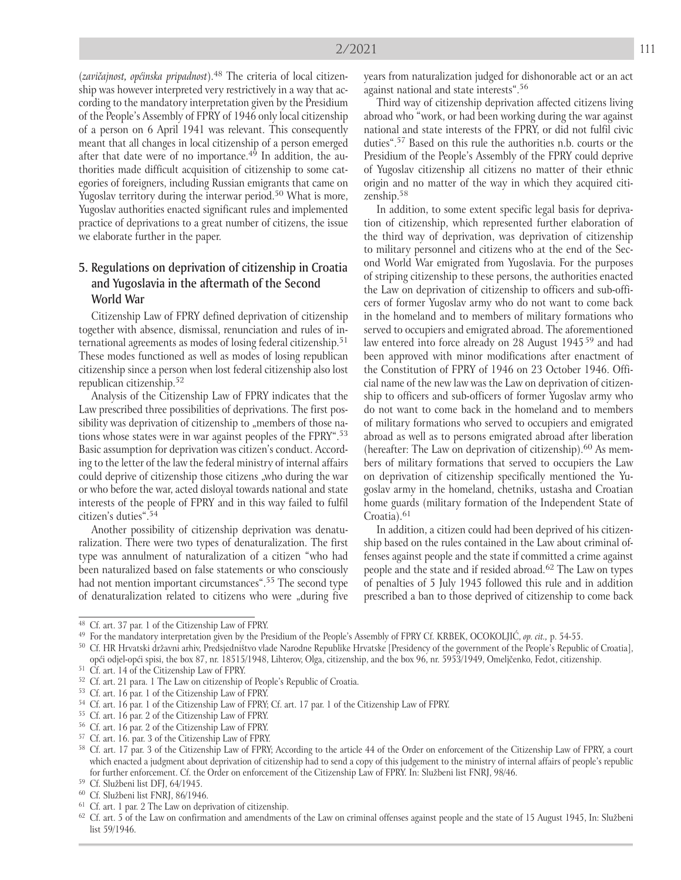(*zavičajnost, općinska pripadnost*). 48 The criteria of local citizenship was however interpreted very restrictively in a way that according to the mandatory interpretation given by the Presidium of the People's Assembly of FPRY of 1946 only local citizenship of a person on 6 April 1941 was relevant. This consequently meant that all changes in local citizenship of a person emerged after that date were of no importance.<sup>49</sup> In addition, the authorities made difficult acquisition of citizenship to some categories of foreigners, including Russian emigrants that came on Yugoslav territory during the interwar period.<sup>50</sup> What is more, Yugoslav authorities enacted significant rules and implemented practice of deprivations to a great number of citizens, the issue we elaborate further in the paper.

## 5. Regulations on deprivation of citizenship in Croatia and Yugoslavia in the aftermath of the Second World War

Citizenship Law of FPRY defined deprivation of citizenship together with absence, dismissal, renunciation and rules of international agreements as modes of losing federal citizenship. 51 These modes functioned as well as modes of losing republican citizenship since a person when lost federal citizenship also lost republican citizenship. 52

Analysis of the Citizenship Law of FPRY indicates that the Law prescribed three possibilities of deprivations. The first possibility was deprivation of citizenship to "members of those nations whose states were in war against peoples of the FPRY". 53 Basic assumption for deprivation was citizen's conduct. According to the letter of the law the federal ministry of internal affairs could deprive of citizenship those citizens "who during the war or who before the war, acted disloyal towards national and state interests of the people of FPRY and in this way failed to fulfil citizen's duties". 54

Another possibility of citizenship deprivation was denaturalization. There were two types of denaturalization. The first type was annulment of naturalization of a citizen "who had been naturalized based on false statements or who consciously had not mention important circumstances".<sup>55</sup> The second type of denaturalization related to citizens who were "during five

years from naturalization judged for dishonorable act or an act against national and state interests". 56

Third way of citizenship deprivation affected citizens living abroad who "work, or had been working during the war against national and state interests of the FPRY, or did not fulfil civic duties". 57 Based on this rule the authorities n.b. courts or the Presidium of the People's Assembly of the FPRY could deprive of Yugoslav citizenship all citizens no matter of their ethnic origin and no matter of the way in which they acquired citizenship. 58

In addition, to some extent specific legal basis for deprivation of citizenship, which represented further elaboration of the third way of deprivation, was deprivation of citizenship to military personnel and citizens who at the end of the Second World War emigrated from Yugoslavia. For the purposes of striping citizenship to these persons, the authorities enacted the Law on deprivation of citizenship to officers and sub-officers of former Yugoslav army who do not want to come back in the homeland and to members of military formations who served to occupiers and emigrated abroad. The aforementioned law entered into force already on 28 August 1945<sup>59</sup> and had been approved with minor modifications after enactment of the Constitution of FPRY of 1946 on 23 October 1946. Official name of the new law was the Law on deprivation of citizenship to officers and sub-officers of former Yugoslav army who do not want to come back in the homeland and to members of military formations who served to occupiers and emigrated abroad as well as to persons emigrated abroad after liberation (hereafter: The Law on deprivation of citizenship). 60 As members of military formations that served to occupiers the Law on deprivation of citizenship specifically mentioned the Yugoslav army in the homeland, chetniks, ustasha and Croatian home guards (military formation of the Independent State of Croatia). 61

In addition, a citizen could had been deprived of his citizenship based on the rules contained in the Law about criminal offenses against people and the state if committed a crime against people and the state and if resided abroad. 62 The Law on types of penalties of 5 July 1945 followed this rule and in addition prescribed a ban to those deprived of citizenship to come back

<sup>48</sup> Cf. art. 37 par. 1 of the Citizenship Law of FPRY.

<sup>49</sup> For the mandatory interpretation given by the Presidium of the People's Assembly of FPRY Cf. KRBEK, OCOKOLJIĆ, *op. cit.,* p. 54-55.

<sup>&</sup>lt;sup>50</sup> Cf. HR Hrvatski državni arhiv, Predsjedništvo vlade Narodne Republike Hrvatske [Presidency of the government of the People's Republic of Croatia], opći odjel-opći spisi, the box 87, nr. 18515/1948, Lihterov, Olga, citizenship, and the box 96, nr. 5953/1949, Omeljčenko, Fedot, citizenship.

<sup>51</sup> Cf. art. 14 of the Citizenship Law of FPRY.

<sup>&</sup>lt;sup>52</sup> Cf. art. 21 para. 1 The Law on citizenship of People's Republic of Croatia.

Cf. art. 16 par. 1 of the Citizenship Law of FPRY.

<sup>&</sup>lt;sup>54</sup> Cf. art. 16 par. 1 of the Citizenship Law of FPRY; Cf. art. 17 par. 1 of the Citizenship Law of FPRY.

<sup>55</sup> Cf. art. 16 par. 2 of the Citizenship Law of FPRY.

<sup>56</sup> Cf. art. 16 par. 2 of the Citizenship Law of FPRY.

<sup>57</sup> Cf. art. 16. par. 3 of the Citizenship Law of FPRY.

<sup>&</sup>lt;sup>58</sup> Cf. art. 17 par. 3 of the Citizenship Law of FPRY; According to the article 44 of the Order on enforcement of the Citizenship Law of FPRY, a court which enacted a judgment about deprivation of citizenship had to send a copy of this judgement to the ministry of internal affairs of people's republic for further enforcement. Cf. the Order on enforcement of the Citizenship Law of FPRY. In: Službeni list FNRJ, 98/46.

<sup>59</sup> Cf. Službeni list DFJ, 64/1945.

<sup>60</sup> Cf. Službeni list FNRJ, 86/1946.

<sup>61</sup> Cf. art. 1 par. 2 The Law on deprivation of citizenship.

 $62$  Cf. art. 5 of the Law on confirmation and amendments of the Law on criminal offenses against people and the state of 15 August 1945, In: Službeni list 59/1946.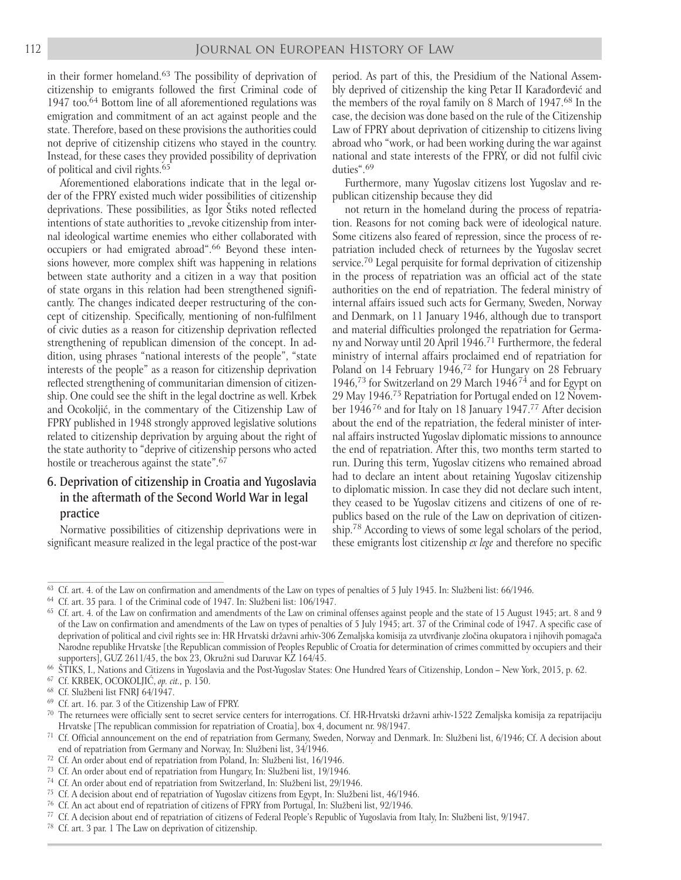in their former homeland. 63 The possibility of deprivation of citizenship to emigrants followed the first Criminal code of 1947 too. 64 Bottom line of all aforementioned regulations was emigration and commitment of an act against people and the state. Therefore, based on these provisions the authorities could not deprive of citizenship citizens who stayed in the country. Instead, for these cases they provided possibility of deprivation of political and civil rights. 65

Aforementioned elaborations indicate that in the legal order of the FPRY existed much wider possibilities of citizenship deprivations. These possibilities, as Igor Štiks noted reflected intentions of state authorities to "revoke citizenship from internal ideological wartime enemies who either collaborated with occupiers or had emigrated abroad". 66 Beyond these intensions however, more complex shift was happening in relations between state authority and a citizen in a way that position of state organs in this relation had been strengthened significantly. The changes indicated deeper restructuring of the concept of citizenship. Specifically, mentioning of non-fulfilment of civic duties as a reason for citizenship deprivation reflected strengthening of republican dimension of the concept. In addition, using phrases "national interests of the people", "state interests of the people" as a reason for citizenship deprivation reflected strengthening of communitarian dimension of citizenship. One could see the shift in the legal doctrine as well. Krbek and Ocokoljić, in the commentary of the Citizenship Law of FPRY published in 1948 strongly approved legislative solutions related to citizenship deprivation by arguing about the right of the state authority to "deprive of citizenship persons who acted hostile or treacherous against the state".<sup>67</sup>

## 6. Deprivation of citizenship in Croatia and Yugoslavia in the aftermath of the Second World War in legal practice

Normative possibilities of citizenship deprivations were in significant measure realized in the legal practice of the post-war period. As part of this, the Presidium of the National Assembly deprived of citizenship the king Petar II Karađorđević and the members of the royal family on 8 March of 1947. 68 In the case, the decision was done based on the rule of the Citizenship Law of FPRY about deprivation of citizenship to citizens living abroad who "work, or had been working during the war against national and state interests of the FPRY, or did not fulfil civic duties". 69

Furthermore, many Yugoslav citizens lost Yugoslav and republican citizenship because they did

not return in the homeland during the process of repatriation. Reasons for not coming back were of ideological nature. Some citizens also feared of repression, since the process of repatriation included check of returnees by the Yugoslav secret service. 70 Legal perquisite for formal deprivation of citizenship in the process of repatriation was an official act of the state authorities on the end of repatriation. The federal ministry of internal affairs issued such acts for Germany, Sweden, Norway and Denmark, on 11 January 1946, although due to transport and material difficulties prolonged the repatriation for Germany and Norway until 20 April 1946. 71 Furthermore, the federal ministry of internal affairs proclaimed end of repatriation for Poland on 14 February 1946,<sup>72</sup> for Hungary on 28 February 1946,<sup>73</sup> for Switzerland on 29 March 1946<sup>74</sup> and for Egypt on 29 May 1946. 75 Repatriation for Portugal ended on 12 November 1946<sup>76</sup> and for Italy on 18 January 1947.<sup>77</sup> After decision about the end of the repatriation, the federal minister of internal affairs instructed Yugoslav diplomatic missions to announce the end of repatriation. After this, two months term started to run. During this term, Yugoslav citizens who remained abroad had to declare an intent about retaining Yugoslav citizenship to diplomatic mission. In case they did not declare such intent, they ceased to be Yugoslav citizens and citizens of one of republics based on the rule of the Law on deprivation of citizenship.<sup>78</sup> According to views of some legal scholars of the period, these emigrants lost citizenship *ex lege* and therefore no specific

<sup>&</sup>lt;sup>63</sup> Cf. art. 4. of the Law on confirmation and amendments of the Law on types of penalties of 5 July 1945. In: Službeni list:  $66/1946$ .

<sup>64</sup> Cf. art. 35 para. 1 of the Criminal code of 1947. In: Službeni list: 106/1947.

 $65$  Cf. art. 4. of the Law on confirmation and amendments of the Law on criminal offenses against people and the state of 15 August 1945; art. 8 and 9 of the Law on confirmation and amendments of the Law on types of penalties of 5 July 1945; art. 37 of the Criminal code of 1947. A specific case of deprivation of political and civil rights see in: HR Hrvatski državni arhiv-306 Zemaljska komisija za utvrđivanje zločina okupatora i njihovih pomagača Narodne republike Hrvatske [the Republican commission of Peoples Republic of Croatia for determination of crimes committed by occupiers and their supporters], GUZ 2611/45, the box 23, Okružni sud Daruvar KZ 164/45.

<sup>66</sup> ŠTIKS, I., Nations and Citizens in Yugoslavia and the Post-Yugoslav States: One Hundred Years of Citizenship, London – New York, 2015, p. 62.

<sup>67</sup> Cf. KRBEK, OCOKOLJIĆ, *op. cit.,* p. 150.

<sup>68</sup> Cf. Službeni list FNRJ 64/1947.

<sup>69</sup> Cf. art. 16. par. 3 of the Citizenship Law of FPRY.

<sup>&</sup>lt;sup>70</sup> The returnees were officially sent to secret service centers for interrogations. Cf. HR-Hrvatski državni arhiv-1522 Zemaljska komisija za repatrijaciju Hrvatske [The republican commission for repatriation of Croatia], box 4, document nr. 98/1947.

<sup>71</sup> Cf. Official announcement on the end of repatriation from Germany, Sweden, Norway and Denmark. In: Službeni list, 6/1946; Cf. A decision about end of repatriation from Germany and Norway, In: Službeni list, 34/1946.

<sup>72</sup> Cf. An order about end of repatriation from Poland, In: Službeni list, 16/1946.

<sup>73</sup> Cf. An order about end of repatriation from Hungary, In: Službeni list, 19/1946.

<sup>74</sup> Cf. An order about end of repatriation from Switzerland, In: Službeni list, 29/1946.

<sup>75</sup> Cf. A decision about end of repatriation of Yugoslav citizens from Egypt, In: Službeni list, 46/1946.

<sup>76</sup> Cf. An act about end of repatriation of citizens of FPRY from Portugal, In: Službeni list, 92/1946.

<sup>77</sup> Cf. A decision about end of repatriation of citizens of Federal People's Republic of Yugoslavia from Italy, In: Službeni list, 9/1947.

 $^{78}$  Cf. art. 3 par. 1 The Law on deprivation of citizenship.